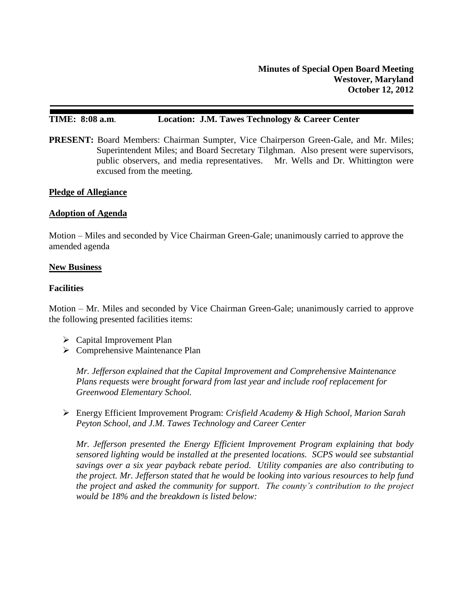# **TIME: 8:08 a.m**. **Location: J.M. Tawes Technology & Career Center**

**PRESENT:** Board Members: Chairman Sumpter, Vice Chairperson Green-Gale, and Mr. Miles; Superintendent Miles; and Board Secretary Tilghman. Also present were supervisors, public observers, and media representatives. Mr. Wells and Dr. Whittington were excused from the meeting.

### **Pledge of Allegiance**

### **Adoption of Agenda**

Motion – Miles and seconded by Vice Chairman Green-Gale; unanimously carried to approve the amended agenda

#### **New Business**

## **Facilities**

Motion – Mr. Miles and seconded by Vice Chairman Green-Gale; unanimously carried to approve the following presented facilities items:

- Capital Improvement Plan
- $\triangleright$  Comprehensive Maintenance Plan

*Mr. Jefferson explained that the Capital Improvement and Comprehensive Maintenance Plans requests were brought forward from last year and include roof replacement for Greenwood Elementary School.* 

 Energy Efficient Improvement Program: *Crisfield Academy & High School, Marion Sarah Peyton School, and J.M. Tawes Technology and Career Center*

*Mr. Jefferson presented the Energy Efficient Improvement Program explaining that body sensored lighting would be installed at the presented locations. SCPS would see substantial savings over a six year payback rebate period. Utility companies are also contributing to the project. Mr. Jefferson stated that he would be looking into various resources to help fund the project and asked the community for support. The county's contribution to the project would be 18% and the breakdown is listed below:*